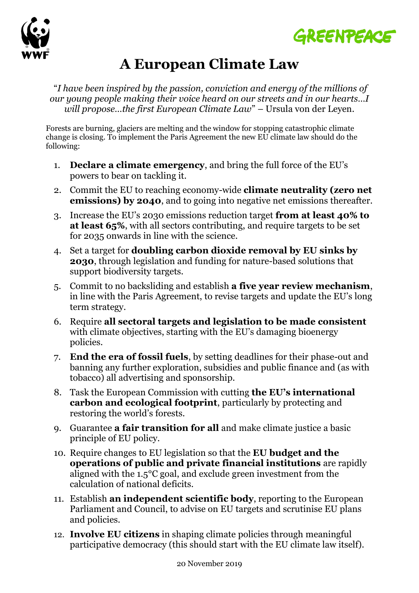



# **A European Climate Law**

"*I have been inspired by the passion, conviction and energy of the millions of our young people making their voice heard on our streets and in our hearts…I will propose…the first European Climate Law*" – Ursula von der Leyen.

Forests are burning, glaciers are melting and the window for stopping catastrophic climate change is closing. To implement the Paris Agreement the new EU climate law should do the following:

- 1. **Declare a climate emergency**, and bring the full force of the EU's powers to bear on tackling it.
- 2. Commit the EU to reaching economy-wide **climate neutrality (zero net emissions) by 2040**, and to going into negative net emissions thereafter.
- 3. Increase the EU's 2030 emissions reduction target **from at least 40% to at least 65%**, with all sectors contributing, and require targets to be set for 2035 onwards in line with the science.
- 4. Set a target for **doubling carbon dioxide removal by EU sinks by 2030**, through legislation and funding for nature-based solutions that support biodiversity targets.
- 5. Commit to no backsliding and establish **a five year review mechanism**, in line with the Paris Agreement, to revise targets and update the EU's long term strategy.
- 6. Require **all sectoral targets and legislation to be made consistent**  with climate objectives, starting with the EU's damaging bioenergy policies.
- 7. **End the era of fossil fuels**, by setting deadlines for their phase-out and banning any further exploration, subsidies and public finance and (as with tobacco) all advertising and sponsorship.
- 8. Task the European Commission with cutting **the EU's international carbon and ecological footprint**, particularly by protecting and restoring the world's forests.
- 9. Guarantee **a fair transition for all** and make climate justice a basic principle of EU policy.
- 10. Require changes to EU legislation so that the **EU budget and the operations of public and private financial institutions** are rapidly aligned with the 1.5°C goal, and exclude green investment from the calculation of national deficits.
- 11. Establish **an independent scientific body**, reporting to the European Parliament and Council, to advise on EU targets and scrutinise EU plans and policies.
- 12. **Involve EU citizens** in shaping climate policies through meaningful participative democracy (this should start with the EU climate law itself).